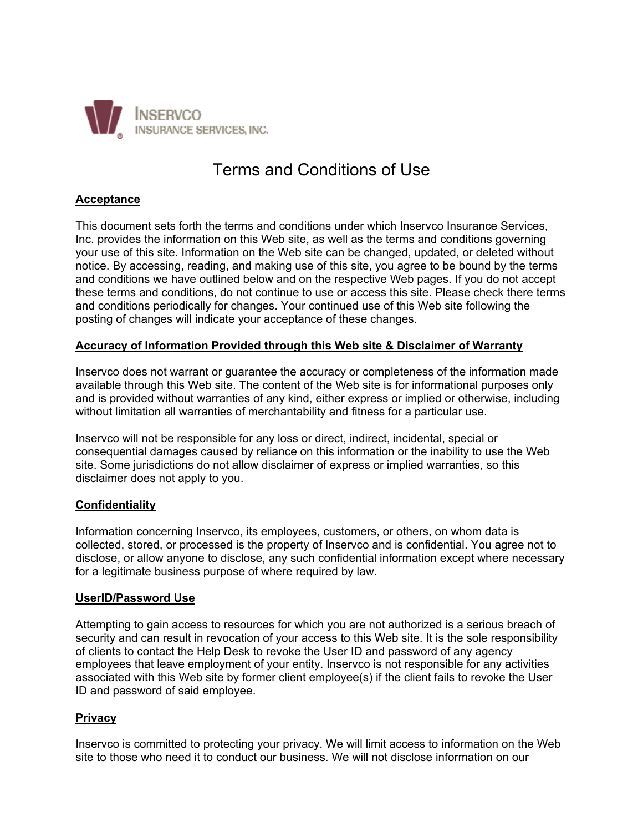

# Terms and Conditions of Use

# **Acceptance**

This document sets forth the terms and conditions under which Inservco Insurance Services, Inc. provides the information on this Web site, as well as the terms and conditions governing your use of this site. Information on the Web site can be changed, updated, or deleted without notice. By accessing, reading, and making use of this site, you agree to be bound by the terms and conditions we have outlined below and on the respective Web pages. If you do not accept these terms and conditions, do not continue to use or access this site. Please check there terms and conditions periodically for changes. Your continued use of this Web site following the posting of changes will indicate your acceptance of these changes.

## **Accuracy of Information Provided through this Web site & Disclaimer of Warranty**

Inservco does not warrant or guarantee the accuracy or completeness of the information made available through this Web site. The content of the Web site is for informational purposes only and is provided without warranties of any kind, either express or implied or otherwise, including without limitation all warranties of merchantability and fitness for a particular use.

Inservco will not be responsible for any loss or direct, indirect, incidental, special or consequential damages caused by reliance on this information or the inability to use the Web site. Some jurisdictions do not allow disclaimer of express or implied warranties, so this disclaimer does not apply to you.

# **Confidentiality**

Information concerning Inservco, its employees, customers, or others, on whom data is collected, stored, or processed is the property of Inservco and is confidential. You agree not to disclose, or allow anyone to disclose, any such confidential information except where necessary for a legitimate business purpose of where required by law.

#### **UserID/Password Use**

Attempting to gain access to resources for which you are not authorized is a serious breach of security and can result in revocation of your access to this Web site. It is the sole responsibility of clients to contact the Help Desk to revoke the User ID and password of any agency employees that leave employment of your entity. Inservco is not responsible for any activities associated with this Web site by former client employee(s) if the client fails to revoke the User ID and password of said employee.

#### **Privacy**

Inservco is committed to protecting your privacy. We will limit access to information on the Web site to those who need it to conduct our business. We will not disclose information on our